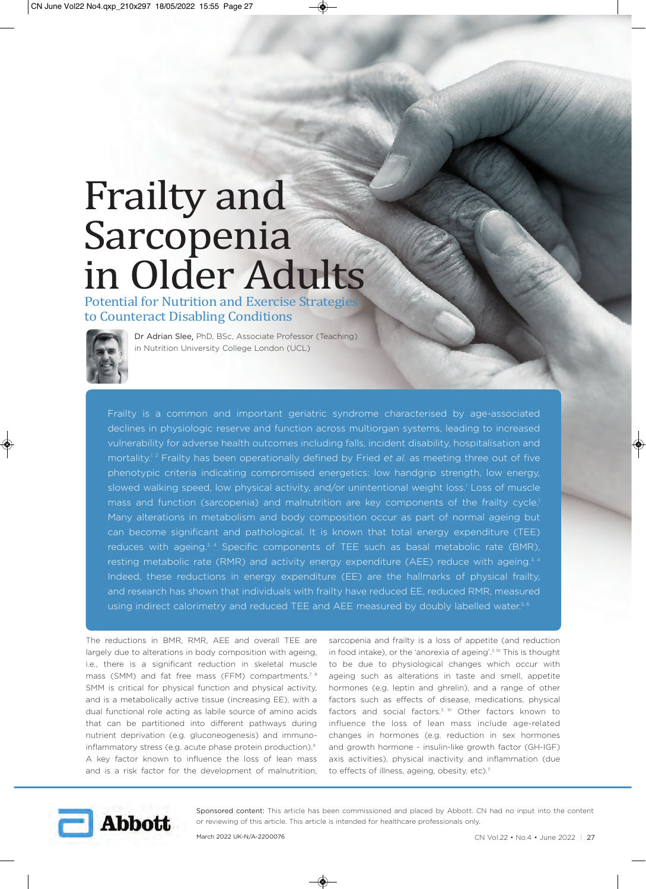## Frailty and Sarcopenia in Older Adults

Potential for Nutrition and Exercise Strategie to Counteract Disabling Conditions



Dr Adrian Slee, PhD, BSc, Associate Professor (Teaching) in Nutrition University College London (UCL)

Frailty is a common and important geriatric syndrome characterised by age-associated declines in physiologic reserve and function across multiorgan systems, leading to increased vulnerability for adverse health outcomes including falls, incident disability, hospitalisation and mortality.<sup>1,2</sup> Frailty has been operationally defined by Fried *et al.* as meeting three out of five phenotypic criteria indicating compromised energetics: low handgrip strength, low energy, slowed walking speed, low physical activity, and/or unintentional weight loss.<sup>1</sup> Loss of muscle mass and function (sarcopenia) and malnutrition are key components of the frailty cycle.<sup>1</sup> Many alterations in metabolism and body composition occur as part of normal ageing but can become significant and pathological. It is known that total energy expenditure (TEE) reduces with ageing. $3, 4$  Specific components of TEE such as basal metabolic rate (BMR), resting metabolic rate (RMR) and activity energy expenditure (AEE) reduce with ageing. $3,4$ Indeed, these reductions in energy expenditure (EE) are the hallmarks of physical frailty, and research has shown that individuals with frailty have reduced EE, reduced RMR, measured using indirect calorimetry and reduced TEE and AEE measured by doubly labelled water.<sup>5, 6</sup>

The reductions in BMR, RMR, AEE and overall TEE are largely due to alterations in body composition with ageing, i.e., there is a significant reduction in skeletal muscle mass (SMM) and fat free mass (FFM) compartments.<sup>7, 8</sup> SMM is critical for physical function and physical activity, and is a metabolically active tissue (increasing EE), with a dual functional role acting as labile source of amino acids that can be partitioned into different pathways during nutrient deprivation (e.g. gluconeogenesis) and immunoinflammatory stress (e.g. acute phase protein production).<sup>9</sup> A key factor known to influence the loss of lean mass and is a risk factor for the development of malnutrition,

sarcopenia and frailty is a loss of appetite (and reduction in food intake), or the 'anorexia of ageing'.<sup>3, 10</sup> This is thought to be due to physiological changes which occur with ageing such as alterations in taste and smell, appetite hormones (e.g. leptin and ghrelin), and a range of other factors such as effects of disease, medications, physical factors and social factors.<sup>3, 10</sup> Other factors known to influence the loss of lean mass include age-related changes in hormones (e.g. reduction in sex hormones and growth hormone - insulin-like growth factor (GH-IGF) axis activities), physical inactivity and inflammation (due to effects of illness, ageing, obesity, etc).<sup>11</sup>



Sponsored content: This article has been commissioned and placed by Abbott. CN had no input into the content or reviewing of this article. This article is intended for healthcare professionals only.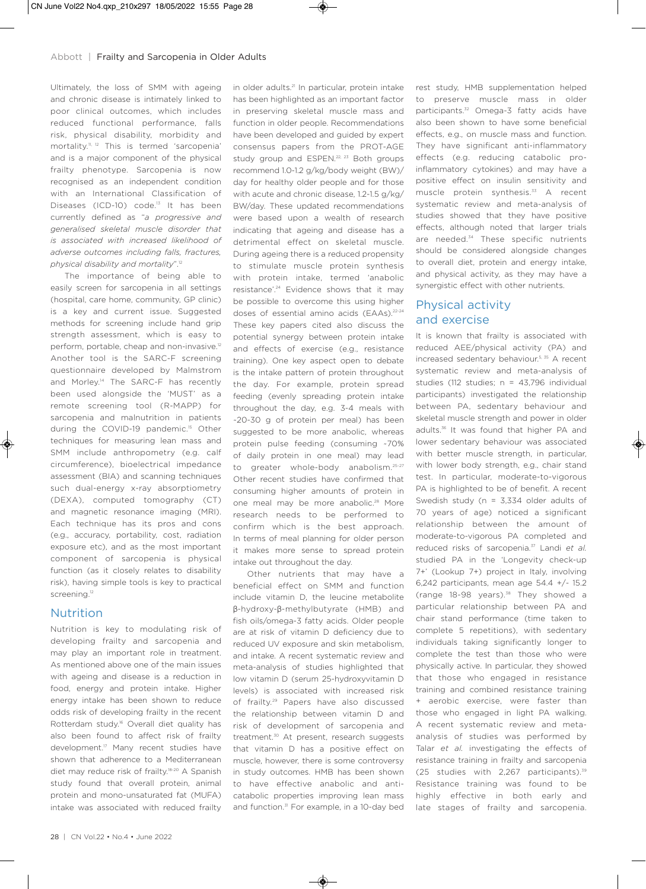Ultimately, the loss of SMM with ageing and chronic disease is intimately linked to poor clinical outcomes, which includes reduced functional performance, falls risk, physical disability, morbidity and mortality.11, 12 This is termed 'sarcopenia' and is a major component of the physical frailty phenotype. Sarcopenia is now recognised as an independent condition with an International Classification of Diseases (ICD-10) code.<sup>13</sup> It has been currently defined as "*a progressive and generalised skeletal muscle disorder that is associated with increased likelihood of adverse outcomes including falls, fractures, physical disability and mortality*".12

The importance of being able to easily screen for sarcopenia in all settings (hospital, care home, community, GP clinic) is a key and current issue. Suggested methods for screening include hand grip strength assessment, which is easy to perform, portable, cheap and non-invasive.<sup>12</sup> Another tool is the SARC-F screening questionnaire developed by Malmstrom and Morley.<sup>14</sup> The SARC-F has recently been used alongside the 'MUST' as a remote screening tool (R-MAPP) for sarcopenia and malnutrition in patients during the COVID-19 pandemic.<sup>15</sup> Other techniques for measuring lean mass and SMM include anthropometry (e.g. calf circumference), bioelectrical impedance assessment (BIA) and scanning techniques such dual-energy x-ray absorptiometry (DEXA), computed tomography (CT) and magnetic resonance imaging (MRI). Each technique has its pros and cons (e.g., accuracy, portability, cost, radiation exposure etc), and as the most important component of sarcopenia is physical function (as it closely relates to disability risk), having simple tools is key to practical screening.<sup>12</sup>

## **Nutrition**

Nutrition is key to modulating risk of developing frailty and sarcopenia and may play an important role in treatment. As mentioned above one of the main issues with ageing and disease is a reduction in food, energy and protein intake. Higher energy intake has been shown to reduce odds risk of developing frailty in the recent Rotterdam study.<sup>16</sup> Overall diet quality has also been found to affect risk of frailty development.17 Many recent studies have shown that adherence to a Mediterranean diet may reduce risk of frailty.18-20 A Spanish study found that overall protein, animal protein and mono-unsaturated fat (MUFA) intake was associated with reduced frailty

has been highlighted as an important factor in preserving skeletal muscle mass and function in older people. Recommendations have been developed and guided by expert consensus papers from the PROT-AGE study group and ESPEN.<sup>22, 23</sup> Both groups recommend 1.0-1.2 g/kg/body weight (BW)/ day for healthy older people and for those with acute and chronic disease, 1.2-1.5 g/kg/ BW/day. These updated recommendations were based upon a wealth of research indicating that ageing and disease has a detrimental effect on skeletal muscle. During ageing there is a reduced propensity to stimulate muscle protein synthesis with protein intake, termed 'anabolic resistance'.24 Evidence shows that it may be possible to overcome this using higher doses of essential amino acids (EAAs).<sup>22-24</sup> These key papers cited also discuss the potential synergy between protein intake and effects of exercise (e.g., resistance training). One key aspect open to debate is the intake pattern of protein throughout the day. For example, protein spread feeding (evenly spreading protein intake throughout the day, e.g. 3-4 meals with ~20-30 g of protein per meal) has been suggested to be more anabolic, whereas protein pulse feeding (consuming ~70% of daily protein in one meal) may lead to greater whole-body anabolism.<sup>25-27</sup> Other recent studies have confirmed that consuming higher amounts of protein in one meal may be more anabolic.<sup>28</sup> More research needs to be performed to confirm which is the best approach. In terms of meal planning for older person it makes more sense to spread protein intake out throughout the day.

in older adults.<sup>21</sup> In particular, protein intake

Other nutrients that may have a beneficial effect on SMM and function include vitamin D, the leucine metabolite β-hydroxy-β-methylbutyrate (HMB) and fish oils/omega-3 fatty acids. Older people are at risk of vitamin D deficiency due to reduced UV exposure and skin metabolism, and intake. A recent systematic review and meta-analysis of studies highlighted that low vitamin D (serum 25-hydroxyvitamin D levels) is associated with increased risk of frailty.<sup>29</sup> Papers have also discussed the relationship between vitamin D and risk of development of sarcopenia and treatment.<sup>30</sup> At present, research suggests that vitamin D has a positive effect on muscle, however, there is some controversy in study outcomes. HMB has been shown to have effective anabolic and anticatabolic properties improving lean mass and function.<sup>31</sup> For example, in a 10-day bed

28 | CN Vol.22 • No.4 • June 2022

rest study, HMB supplementation helped to preserve muscle mass in older participants.32 Omega-3 fatty acids have also been shown to have some beneficial effects, e.g., on muscle mass and function. They have significant anti-inflammatory effects (e.g. reducing catabolic proinflammatory cytokines) and may have a positive effect on insulin sensitivity and muscle protein synthesis.<sup>33</sup> A recent systematic review and meta-analysis of studies showed that they have positive effects, although noted that larger trials are needed.<sup>34</sup> These specific nutrients should be considered alongside changes to overall diet, protein and energy intake, and physical activity, as they may have a synergistic effect with other nutrients.

## Physical activity and exercise

It is known that frailty is associated with reduced AEE/physical activity (PA) and increased sedentary behaviour.<sup>5, 35</sup> A recent systematic review and meta-analysis of studies (112 studies; n = 43,796 individual participants) investigated the relationship between PA, sedentary behaviour and skeletal muscle strength and power in older adults.36 It was found that higher PA and lower sedentary behaviour was associated with better muscle strength, in particular, with lower body strength, e.g., chair stand test. In particular, moderate-to-vigorous PA is highlighted to be of benefit. A recent Swedish study (n = 3,334 older adults of 70 years of age) noticed a significant relationship between the amount of moderate-to-vigorous PA completed and reduced risks of sarcopenia.37 Landi *et al.* studied PA in the 'Longevity check-up 7+' (Lookup 7+) project in Italy, involving 6,242 participants, mean age 54.4 +/- 15.2 (range 18-98 years).<sup>38</sup> They showed a particular relationship between PA and chair stand performance (time taken to complete 5 repetitions), with sedentary individuals taking significantly longer to complete the test than those who were physically active. In particular, they showed that those who engaged in resistance training and combined resistance training + aerobic exercise, were faster than those who engaged in light PA walking. A recent systematic review and metaanalysis of studies was performed by Talar *et al.* investigating the effects of resistance training in frailty and sarcopenia (25 studies with 2,267 participants).39 Resistance training was found to be highly effective in both early and late stages of frailty and sarcopenia.